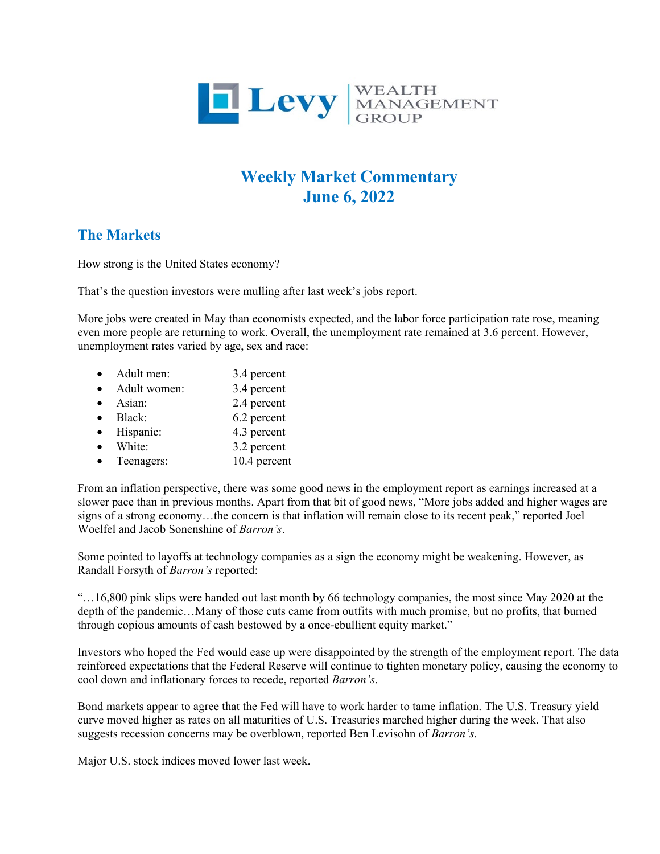

## **Weekly Market Commentary June 6, 2022**

## **The Markets**

How strong is the United States economy?

That's the question investors were mulling after last week's jobs report.

More jobs were created in May than economists expected, and the labor force participation rate rose, meaning even more people are returning to work. Overall, the unemployment rate remained at 3.6 percent. However, unemployment rates varied by age, sex and race:

| Adult men:   | 3.4 percent  |
|--------------|--------------|
| Adult women: | 3.4 percent  |
| Asian:       | 2.4 percent  |
| Black:       | 6.2 percent  |
| Hispanic:    | 4.3 percent  |
| White:       | 3.2 percent  |
| Teenagers:   | 10.4 percent |
|              |              |

From an inflation perspective, there was some good news in the employment report as earnings increased at a slower pace than in previous months. Apart from that bit of good news, "More jobs added and higher wages are signs of a strong economy…the concern is that inflation will remain close to its recent peak," reported Joel Woelfel and Jacob Sonenshine of *Barron's*.

Some pointed to layoffs at technology companies as a sign the economy might be weakening. However, as Randall Forsyth of *Barron's* reported:

"…16,800 pink slips were handed out last month by 66 technology companies, the most since May 2020 at the depth of the pandemic…Many of those cuts came from outfits with much promise, but no profits, that burned through copious amounts of cash bestowed by a once-ebullient equity market."

Investors who hoped the Fed would ease up were disappointed by the strength of the employment report. The data reinforced expectations that the Federal Reserve will continue to tighten monetary policy, causing the economy to cool down and inflationary forces to recede, reported *Barron's*.

Bond markets appear to agree that the Fed will have to work harder to tame inflation. The U.S. Treasury yield curve moved higher as rates on all maturities of U.S. Treasuries marched higher during the week. That also suggests recession concerns may be overblown, reported Ben Levisohn of *Barron's*.

Major U.S. stock indices moved lower last week.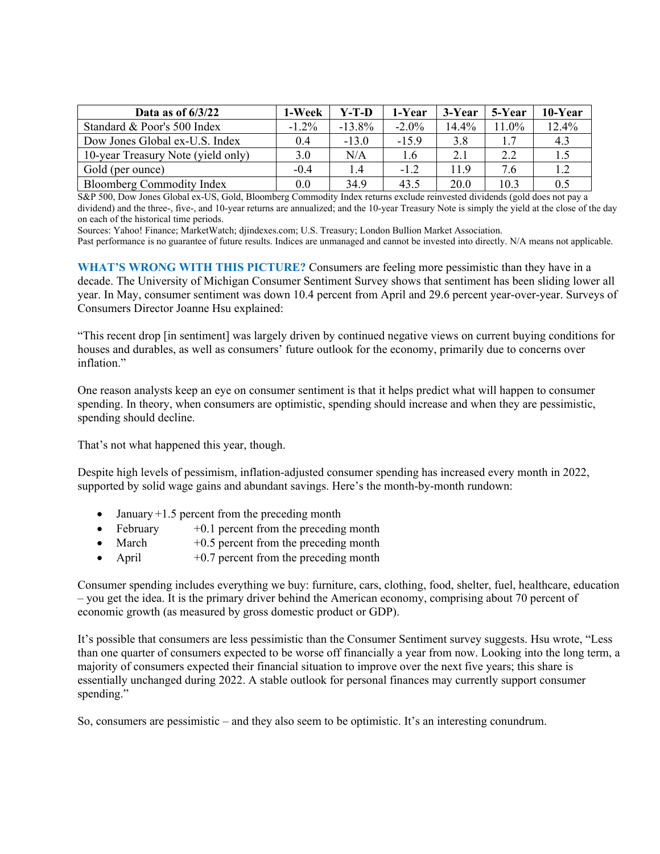| Data as of $6/3/22$                | 1-Week   | Y-T-D     | 1-Year   | 3-Year | 5-Year | 10-Year |
|------------------------------------|----------|-----------|----------|--------|--------|---------|
| Standard & Poor's 500 Index        | $-1.2\%$ | $-13.8\%$ | $-2.0\%$ | 14.4%  | 11.0%  | 12.4%   |
| Dow Jones Global ex-U.S. Index     | 0.4      | $-13.0$   | $-15.9$  | 3.8    |        | 4.3     |
| 10-year Treasury Note (yield only) | 3.0      | N/A       | 1.6      | 2.1    | 2.2    | 1.5     |
| Gold (per ounce)                   | $-0.4$   | 1.4       | $-1.2$   | 11.9   | 7.6    | 1.2     |
| <b>Bloomberg Commodity Index</b>   | 0.0      | 34.9      | 43.5     | 20.0   | 10.3   | 0.5     |

S&P 500, Dow Jones Global ex-US, Gold, Bloomberg Commodity Index returns exclude reinvested dividends (gold does not pay a dividend) and the three-, five-, and 10-year returns are annualized; and the 10-year Treasury Note is simply the yield at the close of the day on each of the historical time periods.

Sources: Yahoo! Finance; MarketWatch; djindexes.com; U.S. Treasury; London Bullion Market Association.

Past performance is no guarantee of future results. Indices are unmanaged and cannot be invested into directly. N/A means not applicable.

**WHAT'S WRONG WITH THIS PICTURE?** Consumers are feeling more pessimistic than they have in a decade. The University of Michigan Consumer Sentiment Survey shows that sentiment has been sliding lower all year. In May, consumer sentiment was down 10.4 percent from April and 29.6 percent year-over-year. Surveys of Consumers Director Joanne Hsu explained:

"This recent drop [in sentiment] was largely driven by continued negative views on current buying conditions for houses and durables, as well as consumers' future outlook for the economy, primarily due to concerns over inflation."

One reason analysts keep an eye on consumer sentiment is that it helps predict what will happen to consumer spending. In theory, when consumers are optimistic, spending should increase and when they are pessimistic, spending should decline.

That's not what happened this year, though.

Despite high levels of pessimism, inflation-adjusted consumer spending has increased every month in 2022, supported by solid wage gains and abundant savings. Here's the month-by-month rundown:

- January  $+1.5$  percent from the preceding month
- February  $+0.1$  percent from the preceding month
- March  $+0.5$  percent from the preceding month
- April  $+0.7$  percent from the preceding month

Consumer spending includes everything we buy: furniture, cars, clothing, food, shelter, fuel, healthcare, education – you get the idea. It is the primary driver behind the American economy, comprising about 70 percent of economic growth (as measured by gross domestic product or GDP).

It's possible that consumers are less pessimistic than the Consumer Sentiment survey suggests. Hsu wrote, "Less than one quarter of consumers expected to be worse off financially a year from now. Looking into the long term, a majority of consumers expected their financial situation to improve over the next five years; this share is essentially unchanged during 2022. A stable outlook for personal finances may currently support consumer spending."

So, consumers are pessimistic – and they also seem to be optimistic. It's an interesting conundrum.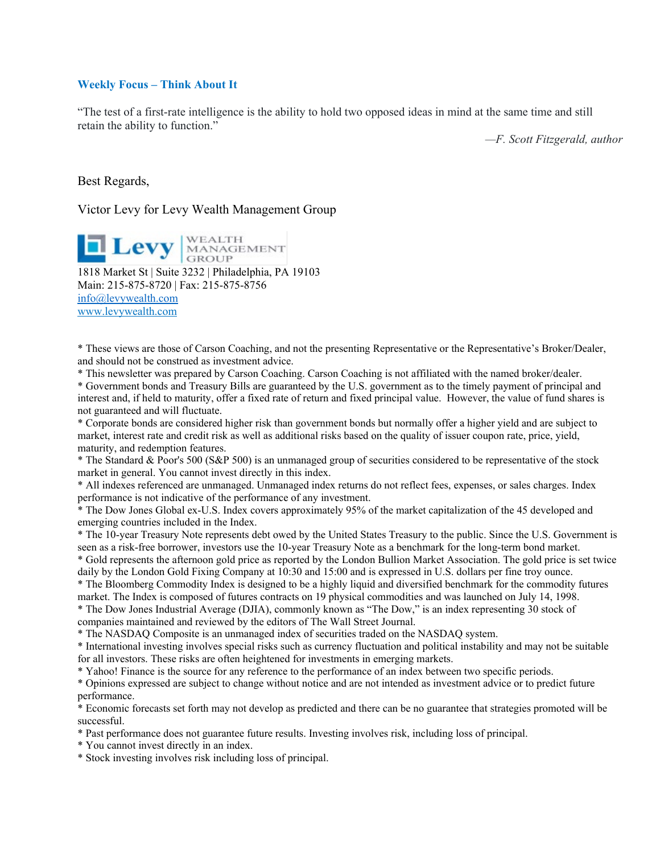## **Weekly Focus – Think About It**

"The test of a first-rate intelligence is the ability to hold two opposed ideas in mind at the same time and still retain the ability to function."

*—F. Scott Fitzgerald, author*

Best Regards,

Victor Levy for Levy Wealth Management Group

**Levy** MANAGEMENT

1818 Market St | Suite 3232 | Philadelphia, PA 19103 Main: 215-875-8720 | Fax: 215-875-8756 [info@levywealth.com](mailto:info@levywealth.com) [www.levywealth.com](http://www.levywealth.com/)

\* These views are those of Carson Coaching, and not the presenting Representative or the Representative's Broker/Dealer, and should not be construed as investment advice.

\* This newsletter was prepared by Carson Coaching. Carson Coaching is not affiliated with the named broker/dealer.

\* Government bonds and Treasury Bills are guaranteed by the U.S. government as to the timely payment of principal and interest and, if held to maturity, offer a fixed rate of return and fixed principal value. However, the value of fund shares is not guaranteed and will fluctuate.

\* Corporate bonds are considered higher risk than government bonds but normally offer a higher yield and are subject to market, interest rate and credit risk as well as additional risks based on the quality of issuer coupon rate, price, yield, maturity, and redemption features.

\* The Standard & Poor's 500 (S&P 500) is an unmanaged group of securities considered to be representative of the stock market in general. You cannot invest directly in this index.

\* All indexes referenced are unmanaged. Unmanaged index returns do not reflect fees, expenses, or sales charges. Index performance is not indicative of the performance of any investment.

\* The Dow Jones Global ex-U.S. Index covers approximately 95% of the market capitalization of the 45 developed and emerging countries included in the Index.

\* The 10-year Treasury Note represents debt owed by the United States Treasury to the public. Since the U.S. Government is seen as a risk-free borrower, investors use the 10-year Treasury Note as a benchmark for the long-term bond market.

\* Gold represents the afternoon gold price as reported by the London Bullion Market Association. The gold price is set twice daily by the London Gold Fixing Company at 10:30 and 15:00 and is expressed in U.S. dollars per fine troy ounce.

\* The Bloomberg Commodity Index is designed to be a highly liquid and diversified benchmark for the commodity futures market. The Index is composed of futures contracts on 19 physical commodities and was launched on July 14, 1998.

\* The Dow Jones Industrial Average (DJIA), commonly known as "The Dow," is an index representing 30 stock of companies maintained and reviewed by the editors of The Wall Street Journal.

\* The NASDAQ Composite is an unmanaged index of securities traded on the NASDAQ system.

\* International investing involves special risks such as currency fluctuation and political instability and may not be suitable for all investors. These risks are often heightened for investments in emerging markets.

\* Yahoo! Finance is the source for any reference to the performance of an index between two specific periods.

\* Opinions expressed are subject to change without notice and are not intended as investment advice or to predict future performance.

\* Economic forecasts set forth may not develop as predicted and there can be no guarantee that strategies promoted will be successful.

\* Past performance does not guarantee future results. Investing involves risk, including loss of principal.

\* You cannot invest directly in an index.

\* Stock investing involves risk including loss of principal.